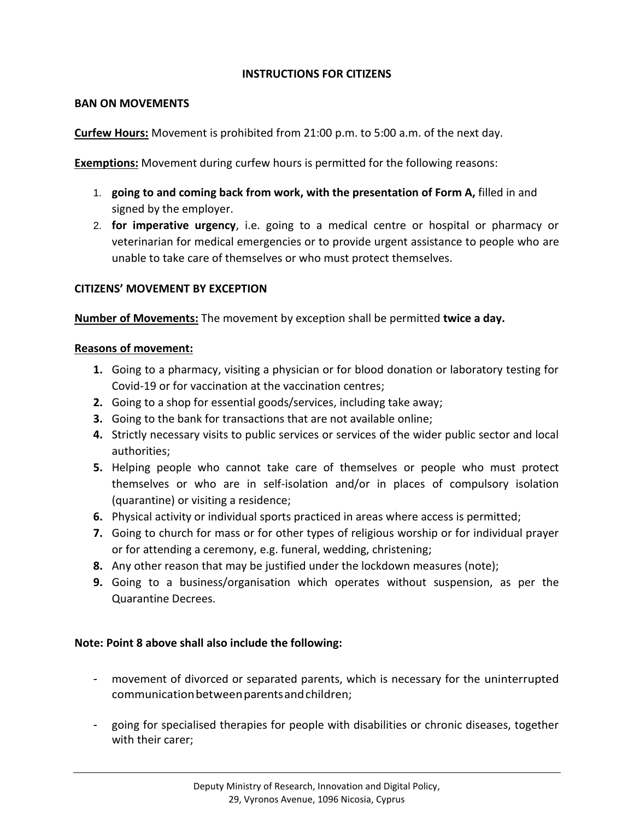## **INSTRUCTIONS FOR CITIZENS**

#### **BAN ON MOVEMENTS**

**Curfew Hours:** Movement is prohibited from 21:00 p.m. to 5:00 a.m. of the next day.

**Exemptions:** Movement during curfew hours is permitted for the following reasons:

- 1. **going to and coming back from work, with the presentation of Form A,** filled in and signed by the employer.
- 2. **for imperative urgency**, i.e. going to a medical centre or hospital or pharmacy or veterinarian for medical emergencies or to provide urgent assistance to people who are unable to take care of themselves or who must protect themselves.

#### **CITIZENS' MOVEMENT BY EXCEPTION**

**Number of Movements:** The movement by exception shall be permitted **twice a day.**

#### **Reasons of movement:**

- **1.** Going to a pharmacy, visiting a physician or for blood donation or laboratory testing for Covid-19 or for vaccination at the vaccination centres;
- **2.** Going to a shop for essential goods/services, including take away;
- **3.** Going to the bank for transactions that are not available online;
- **4.** Strictly necessary visits to public services or services of the wider public sector and local authorities;
- **5.** Helping people who cannot take care of themselves or people who must protect themselves or who are in self-isolation and/or in places of compulsory isolation (quarantine) or visiting a residence;
- **6.** Physical activity or individual sports practiced in areas where access is permitted;
- **7.** Going to church for mass or for other types of religious worship or for individual prayer or for attending a ceremony, e.g. funeral, wedding, christening;
- **8.** Any other reason that may be justified under the lockdown measures (note);
- **9.** Going to a business/organisation which operates without suspension, as per the Quarantine Decrees.

#### **Note: Point 8 above shall also include the following:**

- movement of divorced or separated parents, which is necessary for the uninterrupted communicationbetweenparentsandchildren;
- going for specialised therapies for people with disabilities or chronic diseases, together with their carer;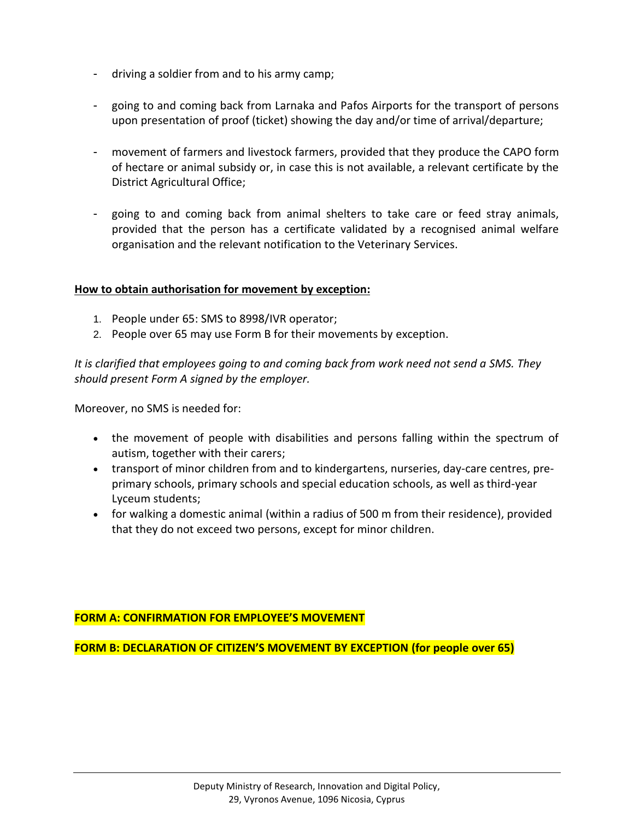- driving a soldier from and to his army camp;
- going to and coming back from Larnaka and Pafos Airports for the transport of persons upon presentation of proof (ticket) showing the day and/or time of arrival/departure;
- movement of farmers and livestock farmers, provided that they produce the CAPO form of hectare or animal subsidy or, in case this is not available, a relevant certificate by the District Agricultural Office;
- going to and coming back from animal shelters to take care or feed stray animals, provided that the person has a certificate validated by a recognised animal welfare organisation and the relevant notification to the Veterinary Services.

#### **How to obtain authorisation for movement by exception:**

- 1. People under 65: SMS to 8998/IVR operator;
- 2. People over 65 may use Form B for their movements by exception.

*It is clarified that employees going to and coming back from work need not send a SMS. They should present Form A signed by the employer.*

Moreover, no SMS is needed for:

- the movement of people with disabilities and persons falling within the spectrum of autism, together with their carers;
- transport of minor children from and to kindergartens, nurseries, day-care centres, preprimary schools, primary schools and special education schools, as well as third-year Lyceum students;
- for walking a domestic animal (within a radius of 500 m from their residence), provided that they do not exceed two persons, except for minor children.

#### **FORM A: CONFIRMATION FOR EMPLOYEE'S MOVEMENT**

**FORM B: DECLARATION OF CITIZEN'S MOVEMENT BY EXCEPTION (for people over 65)**